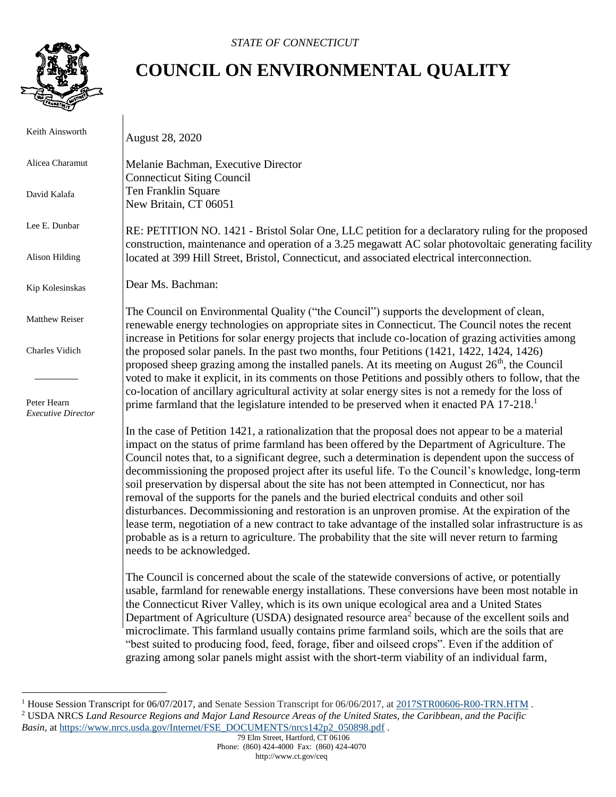

 $\overline{1}$ 

 $\overline{a}$ 

## **COUNCIL ON ENVIRONMENTAL QUALITY**

| Keith Ainsworth                          | <b>August 28, 2020</b>                                                                                                                                                                                                                                                                                                                                                                                                                                                                                                                                                                                                                                                                                                                                                                                                                                                                                                                                     |
|------------------------------------------|------------------------------------------------------------------------------------------------------------------------------------------------------------------------------------------------------------------------------------------------------------------------------------------------------------------------------------------------------------------------------------------------------------------------------------------------------------------------------------------------------------------------------------------------------------------------------------------------------------------------------------------------------------------------------------------------------------------------------------------------------------------------------------------------------------------------------------------------------------------------------------------------------------------------------------------------------------|
| Alicea Charamut                          | Melanie Bachman, Executive Director<br><b>Connecticut Siting Council</b>                                                                                                                                                                                                                                                                                                                                                                                                                                                                                                                                                                                                                                                                                                                                                                                                                                                                                   |
| David Kalafa                             | Ten Franklin Square<br>New Britain, CT 06051                                                                                                                                                                                                                                                                                                                                                                                                                                                                                                                                                                                                                                                                                                                                                                                                                                                                                                               |
| Lee E. Dunbar                            | RE: PETITION NO. 1421 - Bristol Solar One, LLC petition for a declaratory ruling for the proposed<br>construction, maintenance and operation of a 3.25 megawatt AC solar photovoltaic generating facility                                                                                                                                                                                                                                                                                                                                                                                                                                                                                                                                                                                                                                                                                                                                                  |
| Alison Hilding                           | located at 399 Hill Street, Bristol, Connecticut, and associated electrical interconnection.                                                                                                                                                                                                                                                                                                                                                                                                                                                                                                                                                                                                                                                                                                                                                                                                                                                               |
| Kip Kolesinskas                          | Dear Ms. Bachman:                                                                                                                                                                                                                                                                                                                                                                                                                                                                                                                                                                                                                                                                                                                                                                                                                                                                                                                                          |
| Matthew Reiser                           | The Council on Environmental Quality ("the Council") supports the development of clean,<br>renewable energy technologies on appropriate sites in Connecticut. The Council notes the recent<br>increase in Petitions for solar energy projects that include co-location of grazing activities among                                                                                                                                                                                                                                                                                                                                                                                                                                                                                                                                                                                                                                                         |
| Charles Vidich                           | the proposed solar panels. In the past two months, four Petitions (1421, 1422, 1424, 1426)<br>proposed sheep grazing among the installed panels. At its meeting on August $26th$ , the Council                                                                                                                                                                                                                                                                                                                                                                                                                                                                                                                                                                                                                                                                                                                                                             |
| Peter Hearn<br><b>Executive Director</b> | voted to make it explicit, in its comments on those Petitions and possibly others to follow, that the<br>co-location of ancillary agricultural activity at solar energy sites is not a remedy for the loss of<br>prime farmland that the legislature intended to be preserved when it enacted PA 17-218.                                                                                                                                                                                                                                                                                                                                                                                                                                                                                                                                                                                                                                                   |
|                                          | In the case of Petition 1421, a rationalization that the proposal does not appear to be a material<br>impact on the status of prime farmland has been offered by the Department of Agriculture. The<br>Council notes that, to a significant degree, such a determination is dependent upon the success of<br>decommissioning the proposed project after its useful life. To the Council's knowledge, long-term<br>soil preservation by dispersal about the site has not been attempted in Connecticut, nor has<br>removal of the supports for the panels and the buried electrical conduits and other soil<br>disturbances. Decommissioning and restoration is an unproven promise. At the expiration of the<br>lease term, negotiation of a new contract to take advantage of the installed solar infrastructure is as<br>probable as is a return to agriculture. The probability that the site will never return to farming<br>needs to be acknowledged. |
|                                          | The Council is concerned about the scale of the statewide conversions of active, or potentially<br>usable, farmland for renewable energy installations. These conversions have been most notable in<br>the Connecticut River Valley, which is its own unique ecological area and a United States<br>Department of Agriculture (USDA) designated resource area <sup>2</sup> because of the excellent soils and<br>microclimate. This farmland usually contains prime farmland soils, which are the soils that are<br>"best suited to producing food, feed, forage, fiber and oilseed crops". Even if the addition of                                                                                                                                                                                                                                                                                                                                        |

grazing among solar panels might assist with the short-term viability of an individual farm,

<sup>&</sup>lt;sup>1</sup> House Session Transcript for 06/07/2017, and Senate Session Transcript for 06/06/2017, at [2017STR00606-R00-TRN.HTM](https://search.cga.state.ct.us/r/adv/dtsearch.asp?cmd=getdoc&DocId=18023&Index=I%3a%5czindex%5c2017&HitCount=23&hits=2d78+2e2e+2e4e+2e62+2f82+2fc7+2fde+2ff4+302e+3185+31a2+321b+338e+33b2+3411+3415+3528+3582+358f+35d1+35fd+37f8+3885+&hc=44&req=farmland&Item=2) . <sup>2</sup> USDA NRCS *Land Resource Regions and Major Land Resource Areas of the United States, the Caribbean, and the Pacific Basin*, at [https://www.nrcs.usda.gov/Internet/FSE\\_DOCUMENTS/nrcs142p2\\_050898.pdf](https://www.nrcs.usda.gov/Internet/FSE_DOCUMENTS/nrcs142p2_050898.pdf) .